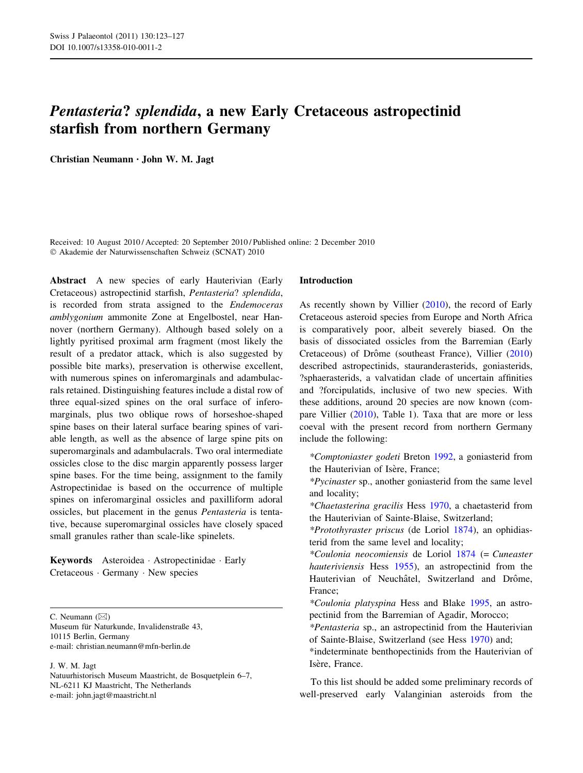# Pentasteria? splendida, a new Early Cretaceous astropectinid starfish from northern Germany

Christian Neumann • John W. M. Jagt

Received: 10 August 2010 / Accepted: 20 September 2010 / Published online: 2 December 2010 - Akademie der Naturwissenschaften Schweiz (SCNAT) 2010

Abstract A new species of early Hauterivian (Early Cretaceous) astropectinid starfish, Pentasteria? splendida, is recorded from strata assigned to the Endemoceras amblygonium ammonite Zone at Engelbostel, near Hannover (northern Germany). Although based solely on a lightly pyritised proximal arm fragment (most likely the result of a predator attack, which is also suggested by possible bite marks), preservation is otherwise excellent, with numerous spines on inferomarginals and adambulacrals retained. Distinguishing features include a distal row of three equal-sized spines on the oral surface of inferomarginals, plus two oblique rows of horseshoe-shaped spine bases on their lateral surface bearing spines of variable length, as well as the absence of large spine pits on superomarginals and adambulacrals. Two oral intermediate ossicles close to the disc margin apparently possess larger spine bases. For the time being, assignment to the family Astropectinidae is based on the occurrence of multiple spines on inferomarginal ossicles and paxilliform adoral ossicles, but placement in the genus Pentasteria is tentative, because superomarginal ossicles have closely spaced small granules rather than scale-like spinelets.

Keywords Asteroidea - Astropectinidae - Early Cretaceous - Germany - New species

C. Neumann  $(\boxtimes)$ 

Museum für Naturkunde, Invalidenstraße 43, 10115 Berlin, Germany e-mail: christian.neumann@mfn-berlin.de

J. W. M. Jagt

Natuurhistorisch Museum Maastricht, de Bosquetplein 6–7, NL-6211 KJ Maastricht, The Netherlands e-mail: john.jagt@maastricht.nl

#### Introduction

As recently shown by Villier ([2010\)](#page-4-0), the record of Early Cretaceous asteroid species from Europe and North Africa is comparatively poor, albeit severely biased. On the basis of dissociated ossicles from the Barremian (Early Cretaceous) of Drôme (southeast France), Villier ([2010\)](#page-4-0) described astropectinids, stauranderasterids, goniasterids, ?sphaerasterids, a valvatidan clade of uncertain affinities and ?forcipulatids, inclusive of two new species. With these additions, around 20 species are now known (compare Villier [\(2010](#page-4-0)), Table 1). Taxa that are more or less coeval with the present record from northern Germany include the following:

\*Comptoniaster godeti Breton [1992](#page-3-0), a goniasterid from the Hauterivian of Isère, France;

\*Pycinaster sp., another goniasterid from the same level and locality;

\*Chaetasterina gracilis Hess [1970,](#page-3-0) a chaetasterid from the Hauterivian of Sainte-Blaise, Switzerland;

\*Protothyraster priscus (de Loriol [1874](#page-3-0)), an ophidiasterid from the same level and locality;

\*Coulonia neocomiensis de Loriol [1874](#page-3-0) (= Cuneaster hauteriviensis Hess [1955\)](#page-3-0), an astropectinid from the Hauterivian of Neuchâtel, Switzerland and Drôme, France;

\*Coulonia platyspina Hess and Blake [1995](#page-3-0), an astropectinid from the Barremian of Agadir, Morocco;

\*Pentasteria sp., an astropectinid from the Hauterivian of Sainte-Blaise, Switzerland (see Hess [1970](#page-3-0)) and;

\*indeterminate benthopectinids from the Hauterivian of Isère, France.

To this list should be added some preliminary records of well-preserved early Valanginian asteroids from the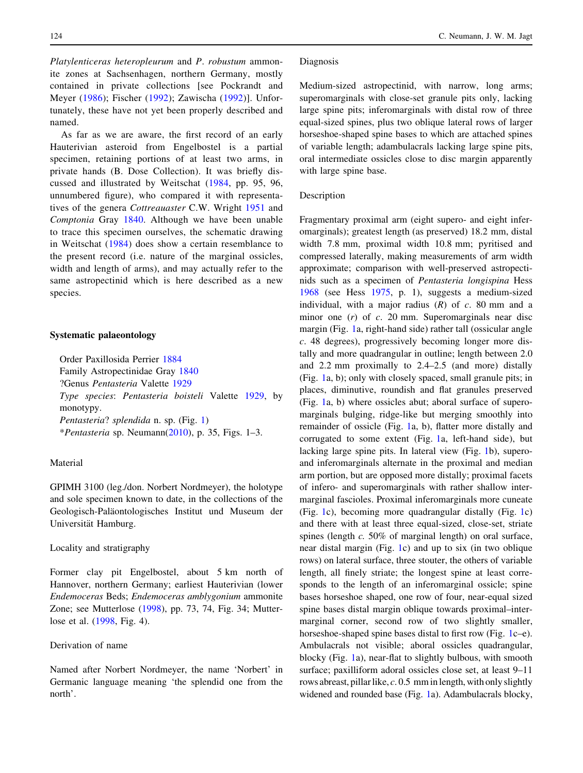Platylenticeras heteropleurum and P. robustum ammonite zones at Sachsenhagen, northern Germany, mostly contained in private collections [see Pockrandt and Meyer ([1986\)](#page-4-0); Fischer ([1992](#page-3-0)); Zawischa [\(1992\)](#page-4-0)]. Unfortunately, these have not yet been properly described and named.

As far as we are aware, the first record of an early Hauterivian asteroid from Engelbostel is a partial specimen, retaining portions of at least two arms, in private hands (B. Dose Collection). It was briefly discussed and illustrated by Weitschat [\(1984,](#page-4-0) pp. 95, 96, unnumbered figure), who compared it with representa-tives of the genera Cottreauaster C.W. Wright [1951](#page-4-0) and Comptonia Gray [1840.](#page-3-0) Although we have been unable to trace this specimen ourselves, the schematic drawing in Weitschat ([1984](#page-4-0)) does show a certain resemblance to the present record (i.e. nature of the marginal ossicles, width and length of arms), and may actually refer to the same astropectinid which is here described as a new species.

## Systematic palaeontology

Order Paxillosida Perrier [1884](#page-4-0) Family Astropectinidae Gray [1840](#page-3-0) ?Genus Pentasteria Valette [1929](#page-4-0) Type species: Pentasteria boisteli Valette [1929](#page-4-0), by monotypy. Pentasteria? splendida n. sp. (Fig. [1](#page-2-0)) \**Pentasteria* sp. Neumann( $2010$ ), p. 35, Figs. 1–3.

## Material

GPIMH 3100 (leg./don. Norbert Nordmeyer), the holotype and sole specimen known to date, in the collections of the Geologisch-Paläontologisches Institut und Museum der Universität Hamburg.

## Locality and stratigraphy

Former clay pit Engelbostel, about 5 km north of Hannover, northern Germany; earliest Hauterivian (lower Endemoceras Beds; Endemoceras amblygonium ammonite Zone; see Mutterlose ([1998\)](#page-3-0), pp. 73, 74, Fig. 34; Mutterlose et al. [\(1998](#page-4-0), Fig. 4).

## Derivation of name

Named after Norbert Nordmeyer, the name 'Norbert' in Germanic language meaning 'the splendid one from the north'.

## Diagnosis

Medium-sized astropectinid, with narrow, long arms; superomarginals with close-set granule pits only, lacking large spine pits; inferomarginals with distal row of three equal-sized spines, plus two oblique lateral rows of larger horseshoe-shaped spine bases to which are attached spines of variable length; adambulacrals lacking large spine pits, oral intermediate ossicles close to disc margin apparently with large spine base.

## Description

Fragmentary proximal arm (eight supero- and eight inferomarginals); greatest length (as preserved) 18.2 mm, distal width 7.8 mm, proximal width 10.8 mm; pyritised and compressed laterally, making measurements of arm width approximate; comparison with well-preserved astropectinids such as a specimen of Pentasteria longispina Hess [1968](#page-3-0) (see Hess [1975](#page-3-0), p. 1), suggests a medium-sized individual, with a major radius  $(R)$  of  $c$ . 80 mm and a minor one  $(r)$  of  $c$ . 20 mm. Superomarginals near disc margin (Fig. [1](#page-2-0)a, right-hand side) rather tall (ossicular angle c. 48 degrees), progressively becoming longer more distally and more quadrangular in outline; length between 2.0 and 2.2 mm proximally to 2.4–2.5 (and more) distally (Fig. [1a](#page-2-0), b); only with closely spaced, small granule pits; in places, diminutive, roundish and flat granules preserved (Fig. [1a](#page-2-0), b) where ossicles abut; aboral surface of superomarginals bulging, ridge-like but merging smoothly into remainder of ossicle (Fig. [1a](#page-2-0), b), flatter more distally and corrugated to some extent (Fig. [1a](#page-2-0), left-hand side), but lacking large spine pits. In lateral view (Fig. [1b](#page-2-0)), superoand inferomarginals alternate in the proximal and median arm portion, but are opposed more distally; proximal facets of infero- and superomarginals with rather shallow intermarginal fascioles. Proximal inferomarginals more cuneate (Fig. [1c](#page-2-0)), becoming more quadrangular distally (Fig. [1](#page-2-0)c) and there with at least three equal-sized, close-set, striate spines (length c. 50% of marginal length) on oral surface, near distal margin (Fig. [1c](#page-2-0)) and up to six (in two oblique rows) on lateral surface, three stouter, the others of variable length, all finely striate; the longest spine at least corresponds to the length of an inferomarginal ossicle; spine bases horseshoe shaped, one row of four, near-equal sized spine bases distal margin oblique towards proximal–intermarginal corner, second row of two slightly smaller, horseshoe-shaped spine bases distal to first row (Fig. [1c](#page-2-0)–e). Ambulacrals not visible; aboral ossicles quadrangular, blocky (Fig. [1a](#page-2-0)), near-flat to slightly bulbous, with smooth surface; paxilliform adoral ossicles close set, at least 9–11 rows abreast, pillar like,  $c$ . 0.5 mm in length, with only slightly widened and rounded base (Fig. [1](#page-2-0)a). Adambulacrals blocky,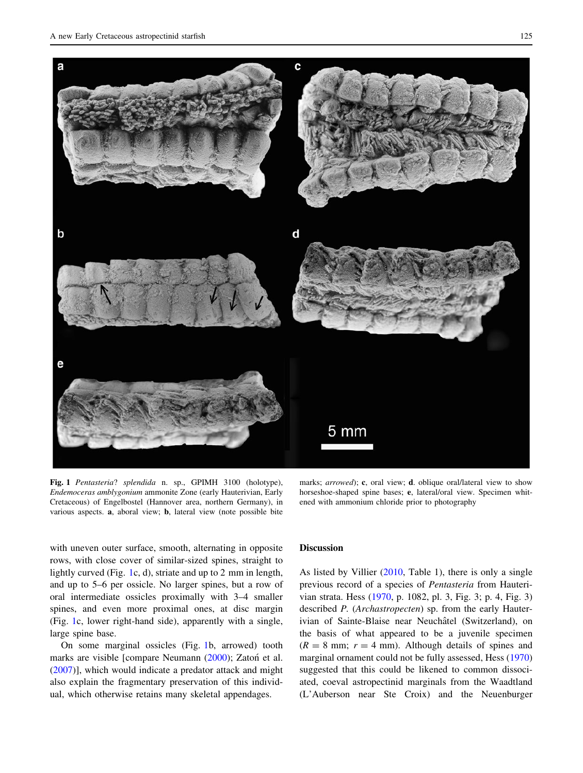<span id="page-2-0"></span>

Fig. 1 Pentasteria? splendida n. sp., GPIMH 3100 (holotype), Endemoceras amblygonium ammonite Zone (early Hauterivian, Early Cretaceous) of Engelbostel (Hannover area, northern Germany), in various aspects. a, aboral view; b, lateral view (note possible bite

marks; *arrowed*); **c**, oral view; **d**. oblique oral/lateral view to show horseshoe-shaped spine bases; e, lateral/oral view. Specimen whitened with ammonium chloride prior to photography

with uneven outer surface, smooth, alternating in opposite rows, with close cover of similar-sized spines, straight to lightly curved (Fig. 1c, d), striate and up to 2 mm in length, and up to 5–6 per ossicle. No larger spines, but a row of oral intermediate ossicles proximally with 3–4 smaller spines, and even more proximal ones, at disc margin (Fig. 1c, lower right-hand side), apparently with a single, large spine base.

On some marginal ossicles (Fig. 1b, arrowed) tooth marks are visible [compare Neumann [\(2000](#page-4-0)); Zaton´ et al. [\(2007](#page-4-0))], which would indicate a predator attack and might also explain the fragmentary preservation of this individual, which otherwise retains many skeletal appendages.

### Discussion

As listed by Villier ([2010,](#page-4-0) Table 1), there is only a single previous record of a species of Pentasteria from Hauterivian strata. Hess ([1970,](#page-3-0) p. 1082, pl. 3, Fig. 3; p. 4, Fig. 3) described P. (Archastropecten) sp. from the early Hauterivian of Sainte-Blaise near Neuchâtel (Switzerland), on the basis of what appeared to be a juvenile specimen  $(R = 8$  mm;  $r = 4$  mm). Although details of spines and marginal ornament could not be fully assessed, Hess ([1970\)](#page-3-0) suggested that this could be likened to common dissociated, coeval astropectinid marginals from the Waadtland (L'Auberson near Ste Croix) and the Neuenburger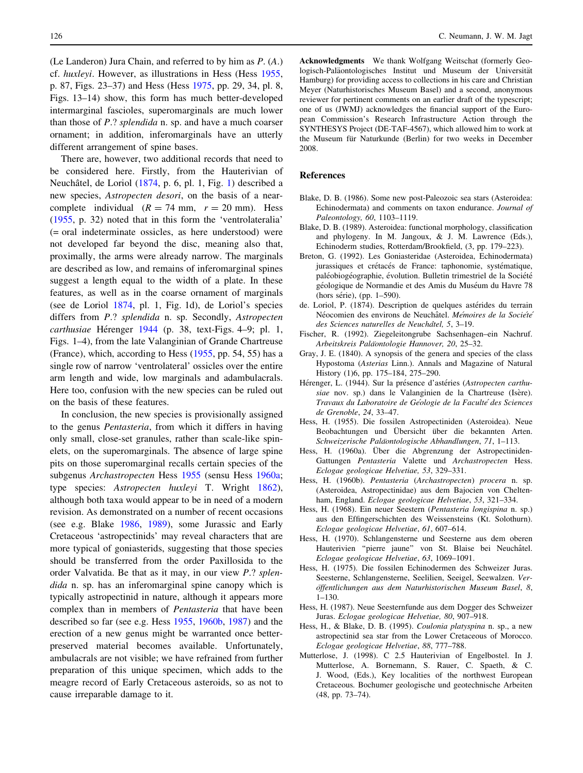<span id="page-3-0"></span>(Le Landeron) Jura Chain, and referred to by him as P. (A.) cf. huxleyi. However, as illustrations in Hess (Hess 1955, p. 87, Figs. 23–37) and Hess (Hess 1975, pp. 29, 34, pl. 8, Figs. 13–14) show, this form has much better-developed intermarginal fascioles, superomarginals are much lower than those of  $P$ .? splendida n. sp. and have a much coarser ornament; in addition, inferomarginals have an utterly different arrangement of spine bases.

There are, however, two additional records that need to be considered here. Firstly, from the Hauterivian of Neuchâtel, de Loriol (1874, p. 6, pl. 1, Fig. [1\)](#page-2-0) described a new species, Astropecten desori, on the basis of a nearcomplete individual  $(R = 74$  mm,  $r = 20$  mm). Hess (1955, p. 32) noted that in this form the 'ventrolateralia' (= oral indeterminate ossicles, as here understood) were not developed far beyond the disc, meaning also that, proximally, the arms were already narrow. The marginals are described as low, and remains of inferomarginal spines suggest a length equal to the width of a plate. In these features, as well as in the coarse ornament of marginals (see de Loriol 1874, pl. 1, Fig. 1d), de Loriol's species differs from P.? splendida n. sp. Secondly, Astropecten  $c$ arthusiae Hérenger 1944 (p. 38, text-Figs. 4–9; pl. 1, Figs. 1–4), from the late Valanginian of Grande Chartreuse (France), which, according to Hess (1955, pp. 54, 55) has a single row of narrow 'ventrolateral' ossicles over the entire arm length and wide, low marginals and adambulacrals. Here too, confusion with the new species can be ruled out on the basis of these features.

In conclusion, the new species is provisionally assigned to the genus Pentasteria, from which it differs in having only small, close-set granules, rather than scale-like spinelets, on the superomarginals. The absence of large spine pits on those superomarginal recalls certain species of the subgenus Archastropecten Hess 1955 (sensu Hess 1960a; type species: Astropecten huxleyi T. Wright [1862](#page-4-0)), although both taxa would appear to be in need of a modern revision. As demonstrated on a number of recent occasions (see e.g. Blake 1986, 1989), some Jurassic and Early Cretaceous 'astropectinids' may reveal characters that are more typical of goniasterids, suggesting that those species should be transferred from the order Paxillosida to the order Valvatida. Be that as it may, in our view P.? splendida n. sp. has an inferomarginal spine canopy which is typically astropectinid in nature, although it appears more complex than in members of Pentasteria that have been described so far (see e.g. Hess 1955, 1960b, 1987) and the erection of a new genus might be warranted once betterpreserved material becomes available. Unfortunately, ambulacrals are not visible; we have refrained from further preparation of this unique specimen, which adds to the meagre record of Early Cretaceous asteroids, so as not to cause irreparable damage to it.

Acknowledgments We thank Wolfgang Weitschat (formerly Geologisch-Paläontologisches Institut und Museum der Universität Hamburg) for providing access to collections in his care and Christian Meyer (Naturhistorisches Museum Basel) and a second, anonymous reviewer for pertinent comments on an earlier draft of the typescript; one of us (JWMJ) acknowledges the financial support of the European Commission's Research Infrastructure Action through the SYNTHESYS Project (DE-TAF-4567), which allowed him to work at the Museum für Naturkunde (Berlin) for two weeks in December 2008.

## References

- Blake, D. B. (1986). Some new post-Paleozoic sea stars (Asteroidea: Echinodermata) and comments on taxon endurance. Journal of Paleontology, 60, 1103–1119.
- Blake, D. B. (1989). Asteroidea: functional morphology, classification and phylogeny. In M. Jangoux, & J. M. Lawrence (Eds.), Echinoderm studies, Rotterdam/Brookfield, (3, pp. 179–223).
- Breton, G. (1992). Les Goniasteridae (Asteroidea, Echinodermata) jurassiques et crétacés de France: taphonomie, systématique, paléobiogéographie, évolution. Bulletin trimestriel de la Société géologique de Normandie et des Amis du Muséum du Havre 78 (hors série), (pp. 1–590).
- de. Loriol, P. (1874). Description de quelques astérides du terrain Néocomien des environs de Neuchâtel. Mémoires de la Société des Sciences naturelles de Neuchâtel, 5, 3-19.
- Fischer, R. (1992). Ziegeleitongrube Sachsenhagen–ein Nachruf. Arbeitskreis Paläontologie Hannover, 20, 25-32.
- Gray, J. E. (1840). A synopsis of the genera and species of the class Hypostoma (Asterias Linn.). Annals and Magazine of Natural History (1)6, pp. 175–184, 275–290.
- Hérenger, L. (1944). Sur la présence d'astéries (Astropecten carthusiae nov. sp.) dans le Valanginien de la Chartreuse (Isère). Travaux du Laboratoire de Géologie de la Faculté des Sciences de Grenoble, 24, 33–47.
- Hess, H. (1955). Die fossilen Astropectiniden (Asteroidea). Neue Beobachtungen und Übersicht über die bekannten Arten. Schweizerische Paläontologische Abhandlungen, 71, 1-113.
- Hess, H. (1960a). Über die Abgrenzung der Astropectiniden-Gattungen Pentasteria Valette und Archastropecten Hess. Eclogae geologicae Helvetiae, 53, 329–331.
- Hess, H. (1960b). Pentasteria (Archastropecten) procera n. sp. (Asteroidea, Astropectinidae) aus dem Bajocien von Cheltenham, England. Eclogae geologicae Helvetiae, 53, 321–334.
- Hess, H. (1968). Ein neuer Seestern (Pentasteria longispina n. sp.) aus den Effingerschichten des Weissensteins (Kt. Solothurn). Eclogae geologicae Helvetiae, 61, 607–614.
- Hess, H. (1970). Schlangensterne und Seesterne aus dem oberen Hauterivien "pierre jaune" von St. Blaise bei Neuchâtel. Eclogae geologicae Helvetiae, 63, 1069–1091.
- Hess, H. (1975). Die fossilen Echinodermen des Schweizer Juras. Seesterne, Schlangensterne, Seelilien, Seeigel, Seewalzen. Veröffentlichungen aus dem Naturhistorischen Museum Basel, 8, 1–130.
- Hess, H. (1987). Neue Seesternfunde aus dem Dogger des Schweizer Juras. Eclogae geologicae Helvetiae, 80, 907–918.
- Hess, H., & Blake, D. B. (1995). Coulonia platyspina n. sp., a new astropectinid sea star from the Lower Cretaceous of Morocco. Eclogae geologicae Helvetiae, 88, 777–788.
- Mutterlose, J. (1998). C 2.5 Hauterivian of Engelbostel. In J. Mutterlose, A. Bornemann, S. Rauer, C. Spaeth, & C. J. Wood, (Eds.), Key localities of the northwest European Cretaceous. Bochumer geologische und geotechnische Arbeiten (48, pp. 73–74).